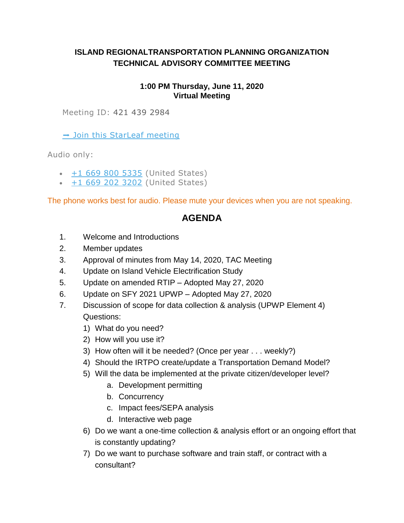## **ISLAND REGIONALTRANSPORTATION PLANNING ORGANIZATION TECHNICAL ADVISORY COMMITTEE MEETING**

## **1:00 PM Thursday, June 11, 2020 Virtual Meeting**

Meeting ID: 421 439 2984

 $\rightarrow$  Join this StarLeaf meeting

Audio only:

- $\cdot$  [+1 669 800 5335](tel:+16698005335,,4214392984) (United States)
- $+1$  669 202 3202 (United States)

The phone works best for audio. Please mute your devices when you are not speaking.

## **AGENDA**

- 1. Welcome and Introductions
- 2. Member updates
- 3. Approval of minutes from May 14, 2020, TAC Meeting
- 4. Update on Island Vehicle Electrification Study
- 5. Update on amended RTIP Adopted May 27, 2020
- 6. Update on SFY 2021 UPWP Adopted May 27, 2020
- 7. Discussion of scope for data collection & analysis (UPWP Element 4) Questions:
	- 1) What do you need?
	- 2) How will you use it?
	- 3) How often will it be needed? (Once per year . . . weekly?)
	- 4) Should the IRTPO create/update a Transportation Demand Model?
	- 5) Will the data be implemented at the private citizen/developer level?
		- a. Development permitting
		- b. Concurrency
		- c. Impact fees/SEPA analysis
		- d. Interactive web page
	- 6) Do we want a one-time collection & analysis effort or an ongoing effort that is constantly updating?
	- 7) Do we want to purchase software and train staff, or contract with a consultant?